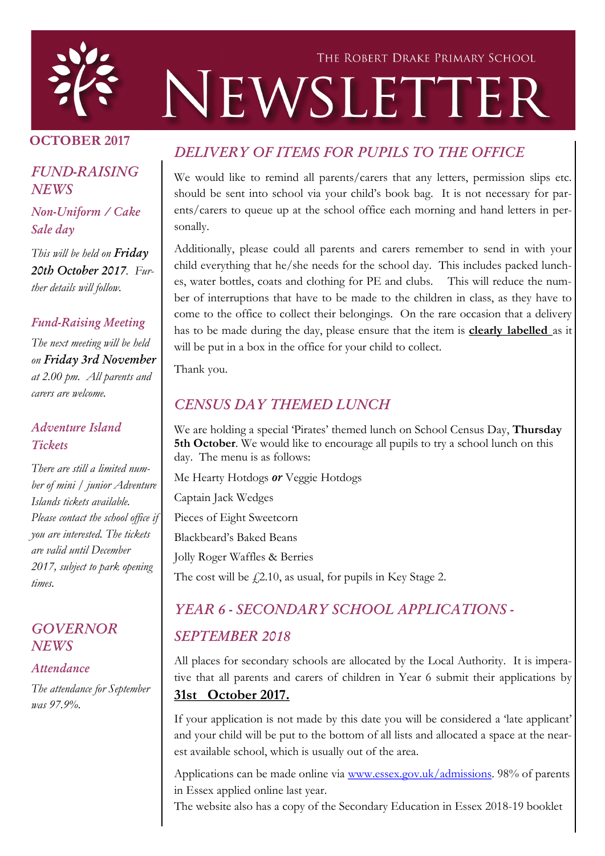

# THE ROBERT DRAKE PRIMARY SCHOOL NEWSLETTER

## OCTOBER 2017

## *FUND-RAISING NEWS*

*Non-Uniform / Cake Sale day*

*This will be held on Friday 20th October 2017. Further details will follow.* 

#### *Fund-Raising Meeting*

*The next meeting will be held on Friday 3rd November at 2.00 pm. All parents and carers are welcome.*

### *Adventure Island Tickets*

*There are still a limited number of mini / junior Adventure Islands tickets available. Please contact the school office if you are interested. The tickets are valid until December 2017, subject to park opening times.*

### *GOVERNOR NEWS*

#### *Attendance*

*The attendance for September was 97.9%.* 

# *DELIVERY OF ITEMS FOR PUPILS TO THE OFFICE*

We would like to remind all parents/carers that any letters, permission slips etc. should be sent into school via your child's book bag. It is not necessary for parents/carers to queue up at the school office each morning and hand letters in personally.

Additionally, please could all parents and carers remember to send in with your child everything that he/she needs for the school day. This includes packed lunches, water bottles, coats and clothing for PE and clubs. This will reduce the number of interruptions that have to be made to the children in class, as they have to come to the office to collect their belongings. On the rare occasion that a delivery has to be made during the day, please ensure that the item is clearly labelled as it will be put in a box in the office for your child to collect.

Thank you.

## *CENSUS DAY THEMED LUNCH*

We are holding a special 'Pirates' themed lunch on School Census Day, Thursday 5th October. We would like to encourage all pupils to try a school lunch on this day. The menu is as follows:

Me Hearty Hotdogs *or* Veggie Hotdogs

Captain Jack Wedges

Pieces of Eight Sweetcorn

Blackbeard's Baked Beans

Jolly Roger Waffles & Berries

The cost will be  $\dot{\gamma}$  2.10, as usual, for pupils in Key Stage 2.

## *YEAR 6 - SECONDARY SCHOOL APPLICATIONS -*

## *SEPTEMBER 2018*

All places for secondary schools are allocated by the Local Authority. It is imperative that all parents and carers of children in Year 6 submit their applications by 31st October 2017.

If your application is not made by this date you will be considered a 'late applicant' and your child will be put to the bottom of all lists and allocated a space at the nearest available school, which is usually out of the area.

Applications can be made online via [www.essex.gov.uk/admissions.](http://www.essex.gov.uk/admissions) 98% of parents in Essex applied online last year.

The website also has a copy of the Secondary Education in Essex 2018-19 booklet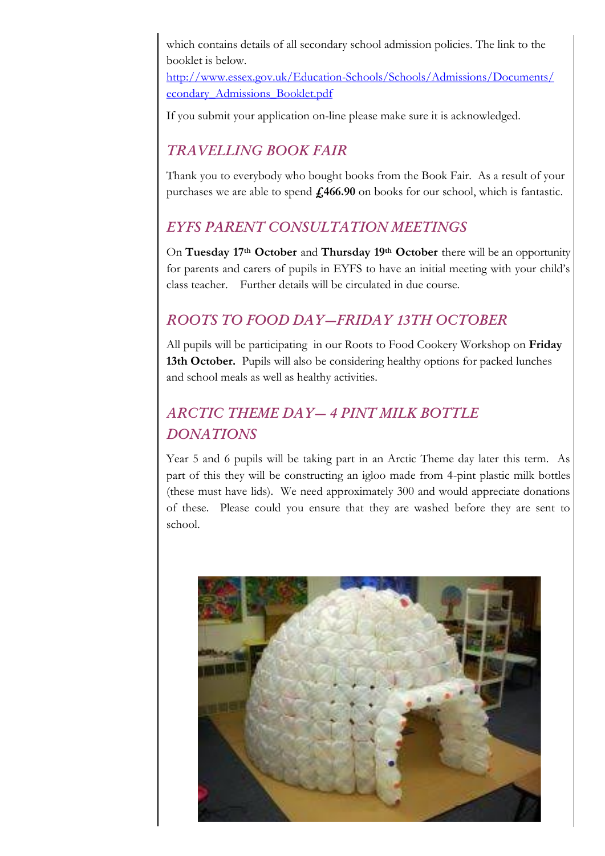which contains details of all secondary school admission policies. The link to the booklet is below.

[http://www.essex.gov.uk/Education-Schools/Schools/Admissions/Documents/](http://www.essex.gov.uk/Education-Schools/Schools/Admissions/Documents/econdary_Admissions_Booklet.pdf) [econdary\\_Admissions\\_Booklet.pdf](http://www.essex.gov.uk/Education-Schools/Schools/Admissions/Documents/econdary_Admissions_Booklet.pdf)

If you submit your application on-line please make sure it is acknowledged.

# *TRAVELLING BOOK FAIR*

Thank you to everybody who bought books from the Book Fair. As a result of your purchases we are able to spend  $\pounds$ 466.90 on books for our school, which is fantastic.

## *EYFS PARENT CONSULTATION MEETINGS*

On Tuesday 17<sup>th</sup> October and Thursday 19<sup>th</sup> October there will be an opportunity for parents and carers of pupils in EYFS to have an initial meeting with your child's class teacher. Further details will be circulated in due course.

# *ROOTS TO FOOD DAY—FRIDAY 13TH OCTOBER*

All pupils will be participating in our Roots to Food Cookery Workshop on Friday 13th October. Pupils will also be considering healthy options for packed lunches and school meals as well as healthy activities.

# *ARCTIC THEME DAY— 4 PINT MILK BOTTLE DONATIONS*

Year 5 and 6 pupils will be taking part in an Arctic Theme day later this term. As part of this they will be constructing an igloo made from 4-pint plastic milk bottles (these must have lids). We need approximately 300 and would appreciate donations of these. Please could you ensure that they are washed before they are sent to school.

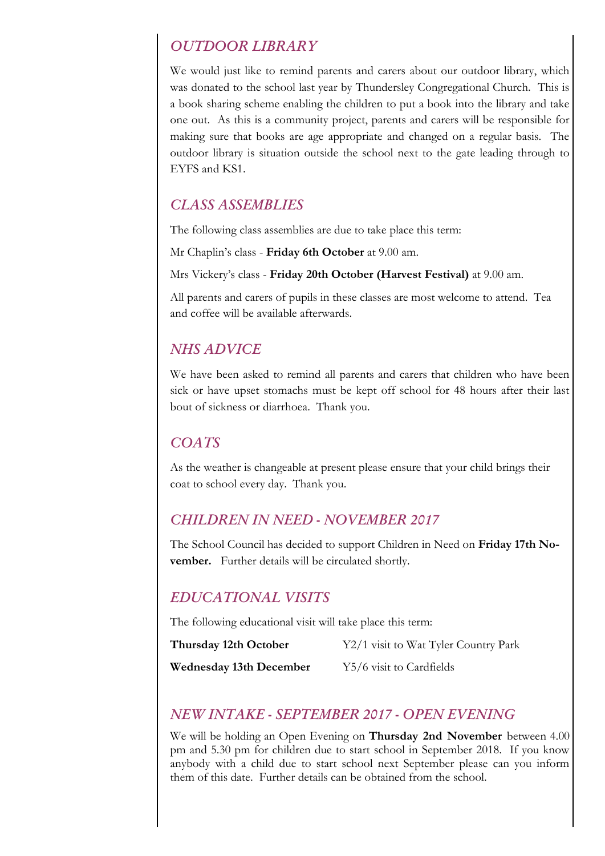## *OUTDOOR LIBRARY*

We would just like to remind parents and carers about our outdoor library, which was donated to the school last year by Thundersley Congregational Church. This is a book sharing scheme enabling the children to put a book into the library and take one out. As this is a community project, parents and carers will be responsible for making sure that books are age appropriate and changed on a regular basis. The outdoor library is situation outside the school next to the gate leading through to EYFS and KS1.

## *CLASS ASSEMBLIES*

The following class assemblies are due to take place this term:

Mr Chaplin's class - Friday 6th October at 9.00 am.

Mrs Vickery's class - Friday 20th October (Harvest Festival) at 9.00 am.

All parents and carers of pupils in these classes are most welcome to attend. Tea and coffee will be available afterwards.

## *NHS ADVICE*

We have been asked to remind all parents and carers that children who have been sick or have upset stomachs must be kept off school for 48 hours after their last bout of sickness or diarrhoea. Thank you.

## *COATS*

As the weather is changeable at present please ensure that your child brings their coat to school every day. Thank you.

## *CHILDREN IN NEED - NOVEMBER 2017*

The School Council has decided to support Children in Need on Friday 17th November. Further details will be circulated shortly.

## *EDUCATIONAL VISITS*

The following educational visit will take place this term:

| Thursday 12th October          | Y2/1 visit to Wat Tyler Country Park |
|--------------------------------|--------------------------------------|
| <b>Wednesday 13th December</b> | Y5/6 visit to Cardfields             |

## *NEW INTAKE - SEPTEMBER 2017 - OPEN EVENING*

We will be holding an Open Evening on Thursday 2nd November between 4.00 pm and 5.30 pm for children due to start school in September 2018. If you know anybody with a child due to start school next September please can you inform them of this date. Further details can be obtained from the school.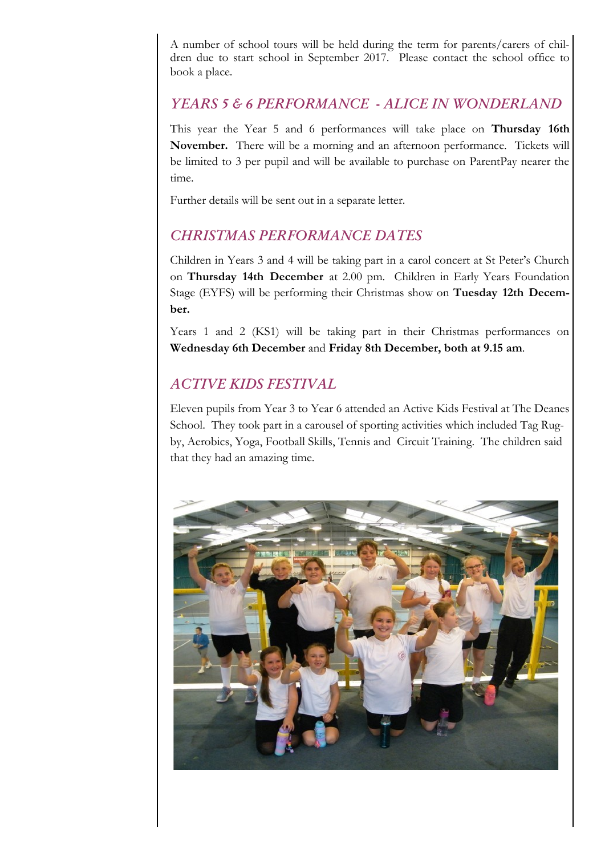A number of school tours will be held during the term for parents/carers of children due to start school in September 2017. Please contact the school office to book a place.

### *YEARS 5 & 6 PERFORMANCE - ALICE IN WONDERLAND*

This year the Year 5 and 6 performances will take place on Thursday 16th November. There will be a morning and an afternoon performance. Tickets will be limited to 3 per pupil and will be available to purchase on ParentPay nearer the time.

Further details will be sent out in a separate letter.

## *CHRISTMAS PERFORMANCE DATES*

Children in Years 3 and 4 will be taking part in a carol concert at St Peter's Church on Thursday 14th December at 2.00 pm. Children in Early Years Foundation Stage (EYFS) will be performing their Christmas show on Tuesday 12th December.

Years 1 and 2 (KS1) will be taking part in their Christmas performances on Wednesday 6th December and Friday 8th December, both at 9.15 am.

## *ACTIVE KIDS FESTIVAL*

Eleven pupils from Year 3 to Year 6 attended an Active Kids Festival at The Deanes School. They took part in a carousel of sporting activities which included Tag Rugby, Aerobics, Yoga, Football Skills, Tennis and Circuit Training. The children said that they had an amazing time.